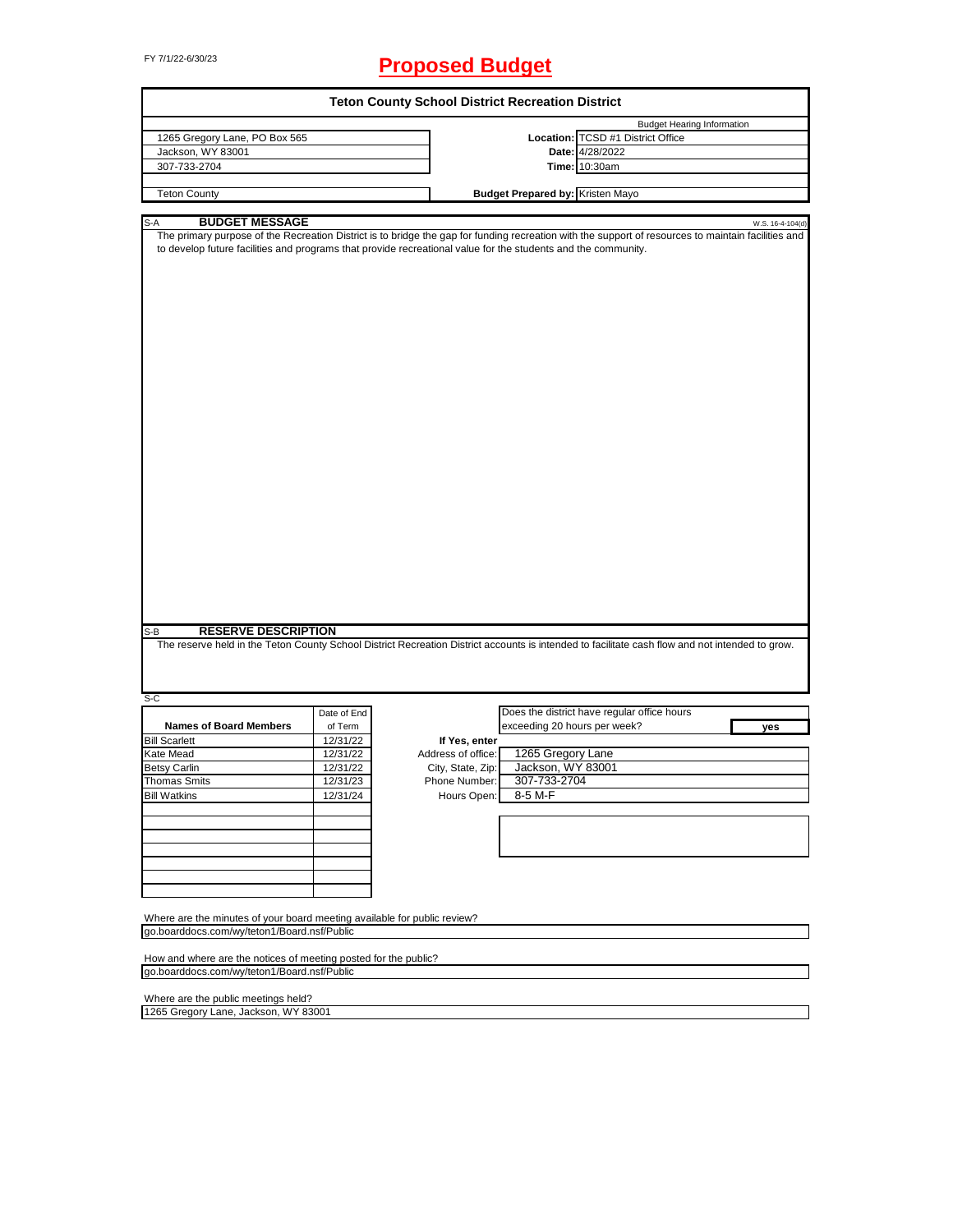# FY 7/1/22-6/30/23 **Proposed Budget**

| <b>Teton County School District Recreation District</b>                                                                                       |             |                    |                                         |                                                                                                                                                                         |
|-----------------------------------------------------------------------------------------------------------------------------------------------|-------------|--------------------|-----------------------------------------|-------------------------------------------------------------------------------------------------------------------------------------------------------------------------|
|                                                                                                                                               |             |                    |                                         | <b>Budget Hearing Information</b>                                                                                                                                       |
| 1265 Gregory Lane, PO Box 565                                                                                                                 |             |                    |                                         | Location: TCSD #1 District Office                                                                                                                                       |
| Jackson, WY 83001                                                                                                                             |             |                    |                                         | Date: 4/28/2022                                                                                                                                                         |
| 307-733-2704                                                                                                                                  |             |                    |                                         | <b>Time: 10:30am</b>                                                                                                                                                    |
| <b>Teton County</b>                                                                                                                           |             |                    | <b>Budget Prepared by: Kristen Mayo</b> |                                                                                                                                                                         |
|                                                                                                                                               |             |                    |                                         |                                                                                                                                                                         |
|                                                                                                                                               |             |                    |                                         |                                                                                                                                                                         |
| <b>BUDGET MESSAGE</b><br>S-A<br>to develop future facilities and programs that provide recreational value for the students and the community. |             |                    |                                         | W.S. 16-4-104(d)<br>The primary purpose of the Recreation District is to bridge the gap for funding recreation with the support of resources to maintain facilities and |
|                                                                                                                                               |             |                    |                                         |                                                                                                                                                                         |
| <b>RESERVE DESCRIPTION</b><br>S-B                                                                                                             |             |                    |                                         |                                                                                                                                                                         |
|                                                                                                                                               |             |                    |                                         | The reserve held in the Teton County School District Recreation District accounts is intended to facilitate cash flow and not intended to grow.                         |
| S-C                                                                                                                                           |             |                    |                                         |                                                                                                                                                                         |
|                                                                                                                                               | Date of End |                    |                                         | Does the district have regular office hours                                                                                                                             |
| <b>Names of Board Members</b>                                                                                                                 | of Term     |                    | exceeding 20 hours per week?            | yes                                                                                                                                                                     |
| <b>Bill Scarlett</b>                                                                                                                          | 12/31/22    | If Yes, enter      |                                         |                                                                                                                                                                         |
| Kate Mead                                                                                                                                     | 12/31/22    | Address of office: | 1265 Gregory Lane                       |                                                                                                                                                                         |
| <b>Betsy Carlin</b>                                                                                                                           | 12/31/22    | City, State, Zip:  | Jackson, WY 83001                       |                                                                                                                                                                         |
| <b>Thomas Smits</b>                                                                                                                           | 12/31/23    | Phone Number:      | 307-733-2704                            |                                                                                                                                                                         |
| <b>Bill Watkins</b>                                                                                                                           | 12/31/24    | Hours Open:        | 8-5 M-F                                 |                                                                                                                                                                         |
|                                                                                                                                               |             |                    |                                         |                                                                                                                                                                         |
|                                                                                                                                               |             |                    |                                         |                                                                                                                                                                         |
|                                                                                                                                               |             |                    |                                         |                                                                                                                                                                         |
|                                                                                                                                               |             |                    |                                         |                                                                                                                                                                         |
|                                                                                                                                               |             |                    |                                         |                                                                                                                                                                         |
|                                                                                                                                               |             |                    |                                         |                                                                                                                                                                         |
|                                                                                                                                               |             |                    |                                         |                                                                                                                                                                         |
| Where are the minutes of your board meeting available for public review?                                                                      |             |                    |                                         |                                                                                                                                                                         |
| go.boarddocs.com/wy/teton1/Board.nsf/Public                                                                                                   |             |                    |                                         |                                                                                                                                                                         |
|                                                                                                                                               |             |                    |                                         |                                                                                                                                                                         |
| How and where are the notices of meeting posted for the public?                                                                               |             |                    |                                         |                                                                                                                                                                         |
| go.boarddocs.com/wy/teton1/Board.nsf/Public                                                                                                   |             |                    |                                         |                                                                                                                                                                         |
|                                                                                                                                               |             |                    |                                         |                                                                                                                                                                         |
| Where are the public meetings held?<br>1265 Gregory Lane, Jackson, WY 83001                                                                   |             |                    |                                         |                                                                                                                                                                         |
|                                                                                                                                               |             |                    |                                         |                                                                                                                                                                         |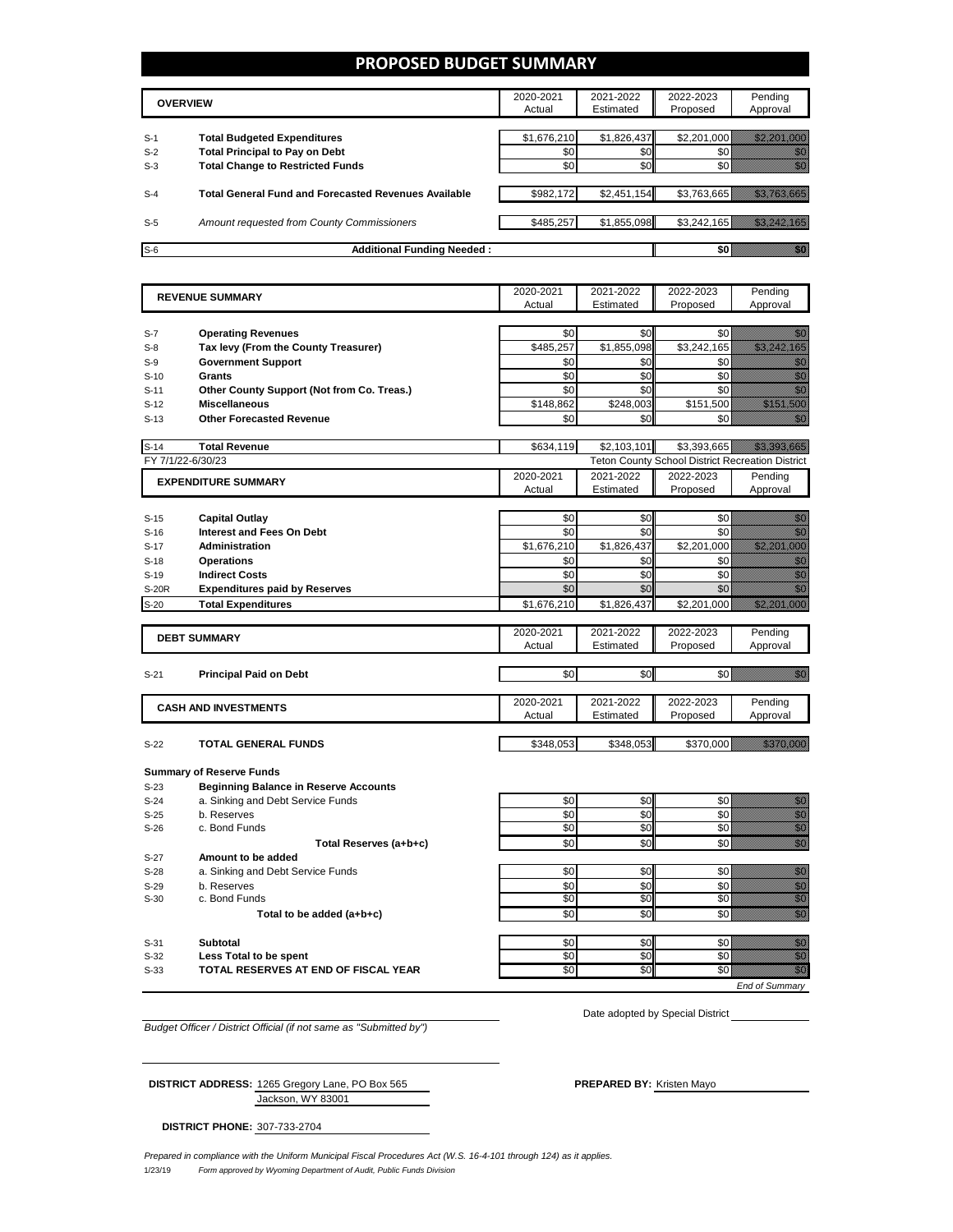#### **PROPOSED BUDGET SUMMARY**

|       | <b>OVERVIEW</b>                                             | 2020-2021<br>Actual | 2021-2022<br>Estimated | 2022-2023<br>Proposed | Pending<br>Approval |
|-------|-------------------------------------------------------------|---------------------|------------------------|-----------------------|---------------------|
| $S-1$ | <b>Total Budgeted Expenditures</b>                          | \$1,676,210         | \$1,826,437            | \$2.201.000           |                     |
| $S-2$ | <b>Total Principal to Pay on Debt</b>                       | \$0                 | \$0                    |                       |                     |
| $S-3$ | <b>Total Change to Restricted Funds</b>                     | \$0                 | \$0                    |                       |                     |
| $S-4$ | <b>Total General Fund and Forecasted Revenues Available</b> | \$982.172           | \$2,451,154            | \$3,763,665           |                     |
| $S-5$ | Amount requested from County Commissioners                  | \$485,257           | \$1,855,098            | \$3,242,165           |                     |
| $S-6$ | <b>Additional Funding Needed:</b>                           |                     |                        |                       |                     |

| <b>REVENUE SUMMARY</b> |                                              | 2020-2021           | 2021-2022              | 2022-2023                                               | Pending                                                                                                                                                                                                                              |
|------------------------|----------------------------------------------|---------------------|------------------------|---------------------------------------------------------|--------------------------------------------------------------------------------------------------------------------------------------------------------------------------------------------------------------------------------------|
|                        |                                              | Actual              | Estimated              | Proposed                                                | Approval                                                                                                                                                                                                                             |
| $S-7$                  | <b>Operating Revenues</b>                    | \$0                 | \$0                    | \$0                                                     | en de la familie de la familie de la familie de la familie de la familie de la familie de la familie de la fam<br>De la familie de la familie de la familie de la familie de la familie de la familie de la familie de la famili     |
| $S-8$                  | Tax levy (From the County Treasurer)         | \$485,257           | \$1,855,098            | \$3,242,165                                             | <u> Kalifornia kontroll</u>                                                                                                                                                                                                          |
| $S-9$                  | <b>Government Support</b>                    | \$0                 | \$0                    | \$0                                                     | en de la familie de la familie de la familie de la familie de la familie de la familie de la familie de la fam<br>Constituit de la familie de la familie de la familie de la familie de la familie de la familie de la familie d     |
| $S-10$                 | Grants                                       | \$0                 | \$0                    | \$0                                                     | en de la familie de la familie de la familie de la familie de la familie de la familie de la familie de la fam<br>Estat de la familie de la familie de la familie de la familie de la familie de la familie de la familie de la      |
| $S-11$                 | Other County Support (Not from Co. Treas.)   | \$0                 | \$0                    | \$0                                                     | en de la familie de la familie de la familie de la familie de la familie de la familie de la familie de la fam<br>Estatubat de la familie de la familie de la familie de la familie de la familie de la familie de la familie de     |
| $S-12$                 | <b>Miscellaneous</b>                         | \$148.862           | \$248.003              | \$151.500                                               | a a shekarar 2009<br>Marejeo                                                                                                                                                                                                         |
| $S-13$                 | <b>Other Forecasted Revenue</b>              | \$0                 | \$0                    | \$0                                                     | an<br>Mari                                                                                                                                                                                                                           |
|                        |                                              |                     |                        |                                                         |                                                                                                                                                                                                                                      |
| $S-14$                 | <b>Total Revenue</b>                         | \$634,119           | \$2,103,101            | \$3,393,665                                             |                                                                                                                                                                                                                                      |
| FY 7/1/22-6/30/23      |                                              |                     |                        | <b>Teton County School District Recreation District</b> |                                                                                                                                                                                                                                      |
|                        | <b>EXPENDITURE SUMMARY</b>                   | 2020-2021           | 2021-2022              | 2022-2023                                               | Pending                                                                                                                                                                                                                              |
|                        |                                              | Actual              | Estimated              | Proposed                                                | Approval                                                                                                                                                                                                                             |
| $S-15$                 | <b>Capital Outlay</b>                        | \$0                 | \$0                    | \$0                                                     | en de la f                                                                                                                                                                                                                           |
| $S-16$                 | <b>Interest and Fees On Debt</b>             | \$0                 | \$0                    | \$0                                                     | en de la familie de la familie de la familie de la familie de la familie de la familie de la familie de la fam<br>Construction de la familie de la familie de la familie de la familie de la familie de la familie de la familie     |
| $S-17$                 | Administration                               | \$1,676,210         | \$1,826,437            | \$2,201,000                                             | a sa mga bayang nagsalalan ng mga bayang ng mga bayang ng mga bayang ng mga bayang ng mga bayang ng mga bayan                                                                                                                        |
| $S-18$                 | <b>Operations</b>                            | \$0                 | \$0                    | \$0                                                     |                                                                                                                                                                                                                                      |
| $S-19$                 | <b>Indirect Costs</b>                        | \$0                 | \$0                    | \$0                                                     | e de la composición de la composición de la composición de la composición de la composición de la composición<br>Campo de la composición de la composición de la composición de la composición de la composición de la composic      |
| S-20R                  | <b>Expenditures paid by Reserves</b>         | \$0                 | \$0                    | \$0                                                     |                                                                                                                                                                                                                                      |
| $S-20$                 | <b>Total Expenditures</b>                    | \$1,676,210         | \$1,826,437            | \$2,201,000                                             | <u> Kalifornia (h. 1988)</u>                                                                                                                                                                                                         |
|                        |                                              |                     |                        |                                                         |                                                                                                                                                                                                                                      |
|                        | <b>DEBT SUMMARY</b>                          | 2020-2021<br>Actual | 2021-2022<br>Estimated | 2022-2023                                               | Pending                                                                                                                                                                                                                              |
|                        |                                              |                     |                        | Proposed                                                | Approval                                                                                                                                                                                                                             |
| $S-21$                 | <b>Principal Paid on Debt</b>                | \$0                 | \$0                    | \$0                                                     | elli kuulu                                                                                                                                                                                                                           |
|                        |                                              |                     |                        |                                                         |                                                                                                                                                                                                                                      |
|                        | <b>CASH AND INVESTMENTS</b>                  | 2020-2021           | 2021-2022              | 2022-2023                                               | Pending                                                                                                                                                                                                                              |
|                        |                                              | Actual              | Estimated              | Proposed                                                | Approval                                                                                                                                                                                                                             |
|                        |                                              |                     |                        |                                                         | <u> Elimento est</u>                                                                                                                                                                                                                 |
| $S-22$                 | TOTAL GENERAL FUNDS                          | \$348,053           | \$348,053              | \$370,000                                               |                                                                                                                                                                                                                                      |
|                        | <b>Summary of Reserve Funds</b>              |                     |                        |                                                         |                                                                                                                                                                                                                                      |
| $S-23$                 | <b>Beginning Balance in Reserve Accounts</b> |                     |                        |                                                         |                                                                                                                                                                                                                                      |
| $S-24$                 | a. Sinking and Debt Service Funds            | \$0                 | \$0                    | \$0                                                     |                                                                                                                                                                                                                                      |
| $S-25$                 | b. Reserves                                  | \$0                 | \$0                    | \$0                                                     | e de la provincia de la provincia de la provincia de la provincia de la provincia de la provincia de la provin<br>Composito de la provincia de la provincia de la provincia de la provincia de la provincia de la provincia de<br>Co |
| $S-26$                 | c. Bond Funds                                | \$0                 | \$0                    | \$0                                                     |                                                                                                                                                                                                                                      |
|                        | Total Reserves (a+b+c)                       | \$0                 | \$0                    | \$0                                                     | en de la familie de la familie de la familie de la familie de la familie de la familie de la familie de la fam<br>Estat de la familie de la familie de la familie de la familie de la familie de la familie de la familie de la      |
| $S-27$                 | Amount to be added                           |                     |                        |                                                         |                                                                                                                                                                                                                                      |
| $S-28$                 | a. Sinking and Debt Service Funds            | \$0                 | \$0                    | \$0                                                     | e de la construcción de la construcción de la construcción de la construcción de la construcción de la constru                                                                                                                       |
| $S-29$                 | b. Reserves                                  | \$0                 | \$0                    | \$0                                                     |                                                                                                                                                                                                                                      |
| $S-30$                 | c. Bond Funds                                | \$0                 | \$0                    | \$0                                                     |                                                                                                                                                                                                                                      |
|                        | Total to be added (a+b+c)                    | \$0                 | \$0                    | \$0                                                     | en de la familie de la familie de la familie de la familie de la familie de la familie de la familie de la fa<br>Constitution de la familie de la familie de la familie de la familie de la familie de la familie de la familie      |
| $S-31$                 | Subtotal                                     | \$0                 | \$0                    | \$0                                                     | 199                                                                                                                                                                                                                                  |
| $S-32$                 | <b>Less Total to be spent</b>                | \$0                 | \$0                    | \$0                                                     | en de la filòla<br>Ballon                                                                                                                                                                                                            |
| $S-33$                 | TOTAL RESERVES AT END OF FISCAL YEAR         | \$0                 | \$0                    | $\overline{50}$                                         | en eller<br>Stadt Stadt Stadt Stadt Stadt Stadt Stadt Stadt Stadt Stadt Stadt Stadt Stadt Stadt Stadt Stadt Stadt Stadt S                                                                                                            |
|                        |                                              |                     |                        |                                                         | <b>End of Summarv</b>                                                                                                                                                                                                                |

*Budget Officer / District Official (if not same as "Submitted by")*

Date adopted by Special District

Jackson, WY 83001 **DISTRICT ADDRESS:** 1265 Gregory Lane, PO Box 565 **PREPARED BY:** Kristen Mayo

**DISTRICT PHONE:** 307-733-2704

1/23/19 *Form approved by Wyoming Department of Audit, Public Funds Division Prepared in compliance with the Uniform Municipal Fiscal Procedures Act (W.S. 16-4-101 through 124) as it applies.*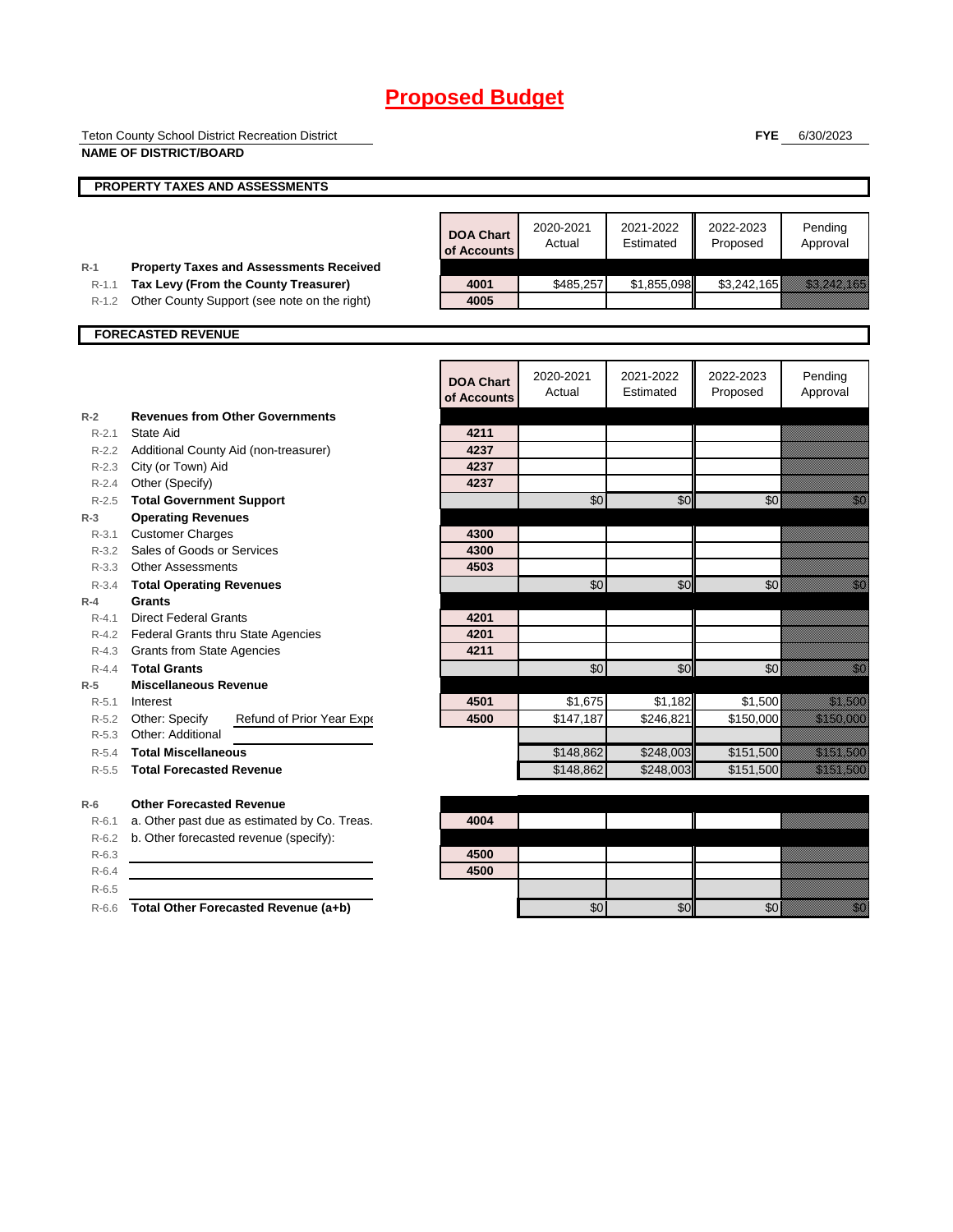Teton County School District Recreation District **NAME OF DISTRICT/BOARD**

**FYE** 6/30/2023

|           | PROPERTY TAXES AND ASSESSMENTS                 |                                 |                     |                        |                       |                                                                                                                                                                                                                                  |
|-----------|------------------------------------------------|---------------------------------|---------------------|------------------------|-----------------------|----------------------------------------------------------------------------------------------------------------------------------------------------------------------------------------------------------------------------------|
|           |                                                |                                 |                     |                        |                       |                                                                                                                                                                                                                                  |
|           |                                                | <b>DOA Chart</b><br>of Accounts | 2020-2021<br>Actual | 2021-2022<br>Estimated | 2022-2023<br>Proposed | Pending<br>Approval                                                                                                                                                                                                              |
| $R-1$     | <b>Property Taxes and Assessments Received</b> |                                 |                     |                        |                       |                                                                                                                                                                                                                                  |
| $R-1.1$   | Tax Levy (From the County Treasurer)           | 4001                            | \$485,257           | \$1,855,098            | \$3,242,165           | <u> Kalifornia (h. 1888).</u>                                                                                                                                                                                                    |
| $R-1.2$   | Other County Support (see note on the right)   | 4005                            |                     |                        |                       |                                                                                                                                                                                                                                  |
|           | <b>FORECASTED REVENUE</b>                      |                                 |                     |                        |                       |                                                                                                                                                                                                                                  |
|           |                                                |                                 |                     |                        |                       |                                                                                                                                                                                                                                  |
|           |                                                | <b>DOA Chart</b><br>of Accounts | 2020-2021<br>Actual | 2021-2022<br>Estimated | 2022-2023<br>Proposed | Pending<br>Approval                                                                                                                                                                                                              |
| $R-2$     | <b>Revenues from Other Governments</b>         |                                 |                     |                        |                       |                                                                                                                                                                                                                                  |
| $R-2.1$   | State Aid                                      | 4211                            |                     |                        |                       |                                                                                                                                                                                                                                  |
|           | R-2.2 Additional County Aid (non-treasurer)    | 4237                            |                     |                        |                       |                                                                                                                                                                                                                                  |
| R-2.3     | City (or Town) Aid                             | 4237                            |                     |                        |                       |                                                                                                                                                                                                                                  |
| $R - 2.4$ | Other (Specify)                                | 4237                            |                     |                        |                       |                                                                                                                                                                                                                                  |
| $R - 2.5$ | <b>Total Government Support</b>                |                                 | \$0                 | \$0                    | \$0                   | e de la composición de la composición de la composición de la composición de la composición de la composición<br>Composición                                                                                                     |
| $R-3$     | <b>Operating Revenues</b>                      |                                 |                     |                        |                       |                                                                                                                                                                                                                                  |
| $R - 3.1$ | <b>Customer Charges</b>                        | 4300                            |                     |                        |                       |                                                                                                                                                                                                                                  |
|           | R-3.2 Sales of Goods or Services               | 4300                            |                     |                        |                       |                                                                                                                                                                                                                                  |
|           | R-3.3 Other Assessments                        | 4503                            |                     |                        |                       |                                                                                                                                                                                                                                  |
| $R - 3.4$ | <b>Total Operating Revenues</b>                |                                 | \$0                 | \$0                    | \$0                   | e di Sala                                                                                                                                                                                                                        |
| $R-4$     | Grants                                         |                                 |                     |                        |                       |                                                                                                                                                                                                                                  |
| $R - 4.1$ | <b>Direct Federal Grants</b>                   | 4201                            |                     |                        |                       |                                                                                                                                                                                                                                  |
|           | R-4.2 Federal Grants thru State Agencies       | 4201                            |                     |                        |                       |                                                                                                                                                                                                                                  |
|           | R-4.3 Grants from State Agencies               | 4211                            |                     |                        |                       |                                                                                                                                                                                                                                  |
| $R - 4.4$ | <b>Total Grants</b>                            |                                 | \$0                 | \$0                    | \$0                   | en de la familie de la familie de la familie de la familie de la familie de la familie de la familie de la fam<br>Constituit de la familie de la familie de la familie de la familie de la familie de la familie de la familie d |
| $R-5$     | <b>Miscellaneous Revenue</b>                   |                                 |                     |                        |                       |                                                                                                                                                                                                                                  |
| $R - 5.1$ | Interest                                       | 4501                            | \$1,675             | \$1,182                | \$1,500               | <u>ti mana</u>                                                                                                                                                                                                                   |
| R-5.2     | Other: Specify<br>Refund of Prior Year Expe    | 4500                            | \$147,187           | \$246,821              | \$150,000             | <u> Maria Sant</u>                                                                                                                                                                                                               |
| $R - 5.3$ | Other: Additional                              |                                 |                     |                        |                       |                                                                                                                                                                                                                                  |
| $R - 5.4$ | <b>Total Miscellaneous</b>                     |                                 | \$148,862           | \$248,003              | \$151,500             | <u>ta manazar</u>                                                                                                                                                                                                                |
| $R - 5.5$ | <b>Total Forecasted Revenue</b>                |                                 | \$148,862           | \$248,003              | \$151,500             | <u>talian yang berasala</u>                                                                                                                                                                                                      |
| $R-6$     | <b>Other Forecasted Revenue</b>                |                                 |                     |                        |                       |                                                                                                                                                                                                                                  |
| $R - 6.1$ | a. Other past due as estimated by Co. Treas.   | 4004                            |                     |                        |                       |                                                                                                                                                                                                                                  |
| $R-6.2$   | b. Other forecasted revenue (specify):         |                                 |                     |                        |                       |                                                                                                                                                                                                                                  |
| $R-6.3$   |                                                | 4500                            |                     |                        |                       |                                                                                                                                                                                                                                  |
| $R-6.4$   |                                                | 4500                            |                     |                        |                       |                                                                                                                                                                                                                                  |
| $R-6.5$   |                                                |                                 |                     |                        |                       |                                                                                                                                                                                                                                  |
| $R-6.6$   | Total Other Forecasted Revenue (a+b)           |                                 | \$0                 | \$0                    | \$0                   | e di T                                                                                                                                                                                                                           |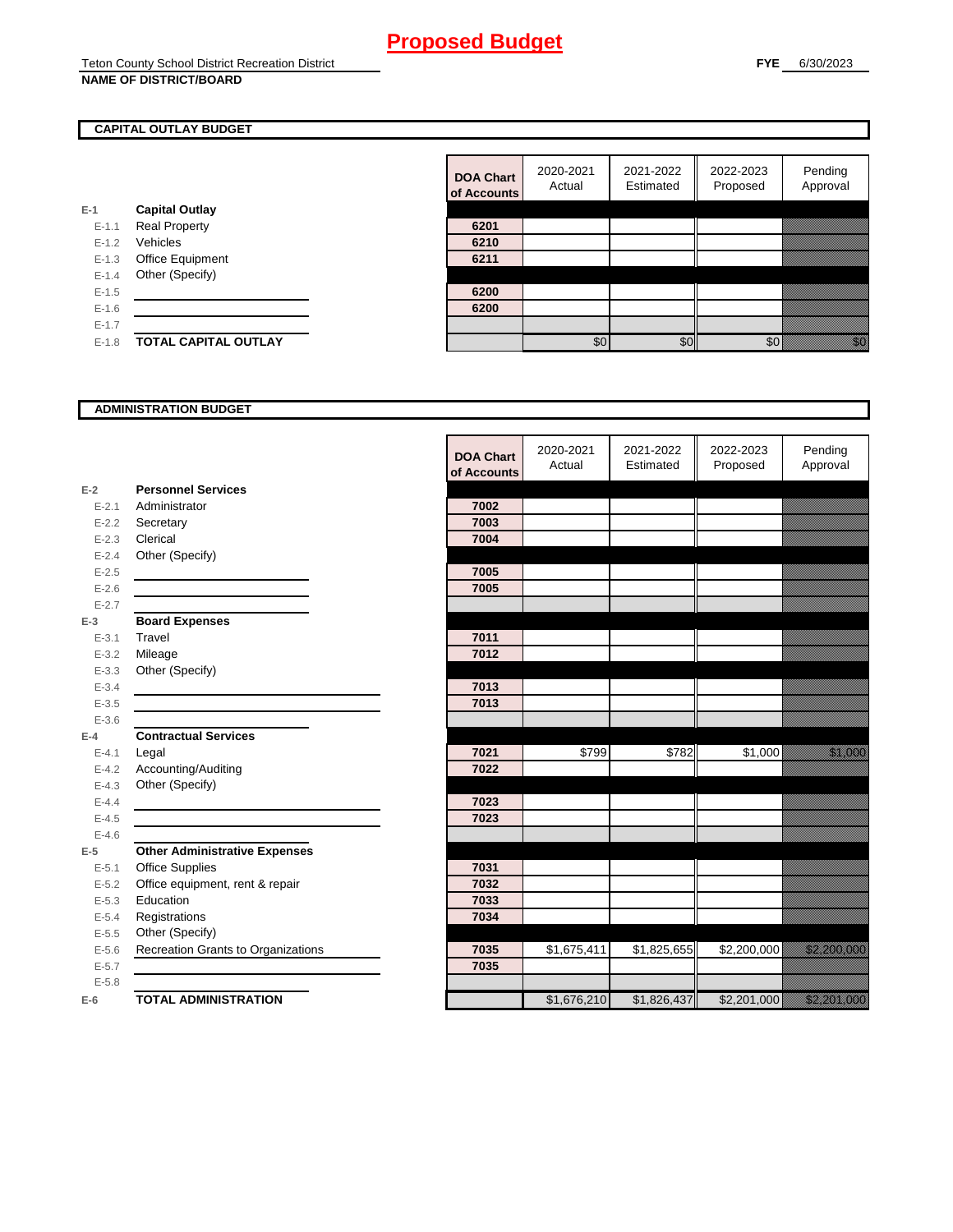## **CAPITAL OUTLAY BUDGET**

|           |                             | vi nuuv |
|-----------|-----------------------------|---------|
| $E-1$     | <b>Capital Outlay</b>       |         |
| $E - 1.1$ | <b>Real Property</b>        | 6201    |
| $E - 1.2$ | Vehicles                    | 6210    |
| $E-1.3$   | Office Equipment            | 6211    |
| $E - 1.4$ | Other (Specify)             |         |
| $E - 1.5$ |                             | 6200    |
| $E - 1.6$ |                             | 6200    |
| $E-1.7$   |                             |         |
| $E-1.8$   | <b>TOTAL CAPITAL OUTLAY</b> |         |
|           |                             |         |

| <b>DOA Chart</b><br>of Accounts | 2020-2021<br>Actual | 2021-2022<br>Estimated | 2022-2023<br>Proposed | Pending<br>Approval |
|---------------------------------|---------------------|------------------------|-----------------------|---------------------|
|                                 |                     |                        |                       |                     |
| 6201                            |                     |                        |                       |                     |
| 6210                            |                     |                        |                       |                     |
| 6211                            |                     |                        |                       |                     |
|                                 |                     |                        |                       |                     |
| 6200                            |                     |                        |                       |                     |
| 6200                            |                     |                        |                       |                     |
|                                 |                     |                        |                       |                     |
|                                 |                     |                        |                       |                     |

#### **ADMINISTRATION BUDGET**

|           |                                      | <b>DOA Chart</b><br>of Accounts | 2020-2021<br>Actual | 2021-2022<br>Estimated | 2022-2023<br>Proposed | Pending<br>Approval           |
|-----------|--------------------------------------|---------------------------------|---------------------|------------------------|-----------------------|-------------------------------|
| $E-2$     | <b>Personnel Services</b>            |                                 |                     |                        |                       |                               |
| $E - 2.1$ | Administrator                        | 7002                            |                     |                        |                       |                               |
| $E-2.2$   | Secretary                            | 7003                            |                     |                        |                       |                               |
| $E - 2.3$ | Clerical                             | 7004                            |                     |                        |                       |                               |
| $E - 2.4$ | Other (Specify)                      |                                 |                     |                        |                       |                               |
| $E - 2.5$ |                                      | 7005                            |                     |                        |                       |                               |
| $E - 2.6$ |                                      | 7005                            |                     |                        |                       |                               |
| $E - 2.7$ |                                      |                                 |                     |                        |                       |                               |
| $E-3$     | <b>Board Expenses</b>                |                                 |                     |                        |                       |                               |
| $E - 3.1$ | Travel                               | 7011                            |                     |                        |                       |                               |
| $E - 3.2$ | Mileage                              | 7012                            |                     |                        |                       |                               |
| $E - 3.3$ | Other (Specify)                      |                                 |                     |                        |                       |                               |
| $E - 3.4$ |                                      | 7013                            |                     |                        |                       |                               |
| $E - 3.5$ |                                      | 7013                            |                     |                        |                       |                               |
| $E - 3.6$ |                                      |                                 |                     |                        |                       |                               |
| $E-4$     | <b>Contractual Services</b>          |                                 |                     |                        |                       |                               |
| $E - 4.1$ | Legal                                | 7021                            | \$799               | \$782                  | \$1,000               | <u> Karl Sara</u>             |
| $E - 4.2$ | Accounting/Auditing                  | 7022                            |                     |                        |                       |                               |
| $E - 4.3$ | Other (Specify)                      |                                 |                     |                        |                       |                               |
| $E - 4.4$ |                                      | 7023                            |                     |                        |                       |                               |
| $E - 4.5$ |                                      | 7023                            |                     |                        |                       |                               |
| $E-4.6$   |                                      |                                 |                     |                        |                       |                               |
| $E-5$     | <b>Other Administrative Expenses</b> |                                 |                     |                        |                       |                               |
| $E - 5.1$ | <b>Office Supplies</b>               | 7031                            |                     |                        |                       |                               |
| $E-5.2$   | Office equipment, rent & repair      | 7032                            |                     |                        |                       |                               |
| $E - 5.3$ | Education                            | 7033                            |                     |                        |                       |                               |
| $E - 5.4$ | Registrations                        | 7034                            |                     |                        |                       |                               |
| $E-5.5$   | Other (Specify)                      |                                 |                     |                        |                       |                               |
| $E-5.6$   | Recreation Grants to Organizations   | 7035                            | \$1,675,411         | \$1,825,655            | \$2,200,000           | <u> Kalifornia (h. 1888).</u> |
| $E - 5.7$ |                                      | 7035                            |                     |                        |                       |                               |
| $E - 5.8$ |                                      |                                 |                     |                        |                       |                               |
| $E-6$     | <b>TOTAL ADMINISTRATION</b>          |                                 | \$1,676,210         | \$1,826,437            | \$2,201,000           | <u>ta masa masa s</u>         |

 $\blacksquare$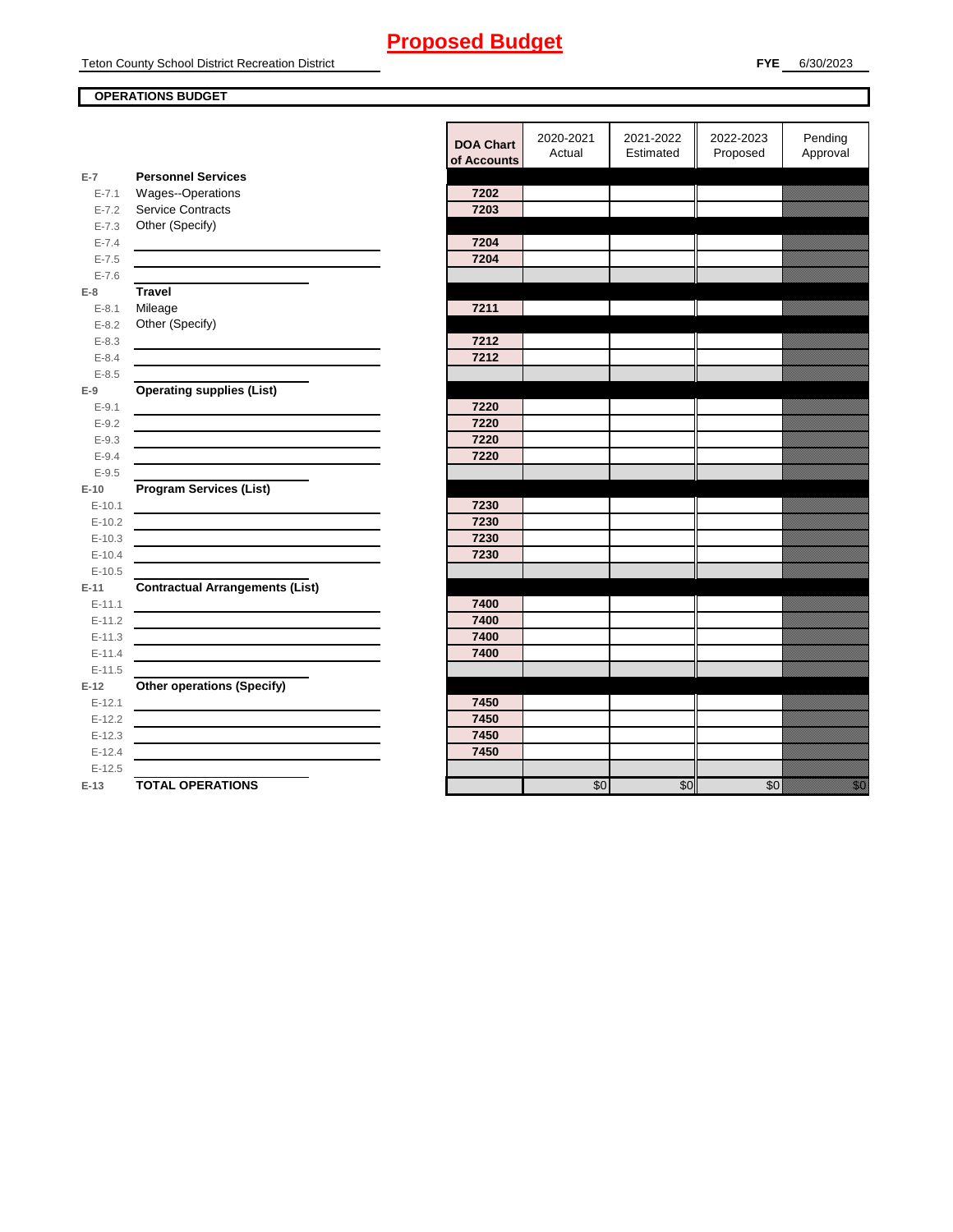Teton County School District Recreation District

## **OPERATIONS BUDGET**

|                        |                                                                                                                      | <b>DOA Chart</b><br>of Accounts | 2020-2021<br>Actual | 2021-2022<br>Estimated | 2022-2023<br>Proposed | Pending<br>Approval |
|------------------------|----------------------------------------------------------------------------------------------------------------------|---------------------------------|---------------------|------------------------|-----------------------|---------------------|
| $E-7$                  | <b>Personnel Services</b>                                                                                            |                                 |                     |                        |                       |                     |
| $E - 7.1$              | Wages--Operations                                                                                                    | 7202                            |                     |                        |                       |                     |
| $E - 7.2$              | Service Contracts                                                                                                    | 7203                            |                     |                        |                       |                     |
| $E - 7.3$              | Other (Specify)                                                                                                      |                                 |                     |                        |                       |                     |
| $E - 7.4$              |                                                                                                                      | 7204                            |                     |                        |                       |                     |
| $E - 7.5$              |                                                                                                                      | 7204                            |                     |                        |                       |                     |
| $E - 7.6$              |                                                                                                                      |                                 |                     |                        |                       |                     |
| $E-8$                  | <b>Travel</b>                                                                                                        |                                 |                     |                        |                       |                     |
| $E - 8.1$              | Mileage                                                                                                              | 7211                            |                     |                        |                       |                     |
| $E - 8.2$              | Other (Specify)                                                                                                      |                                 |                     |                        |                       |                     |
| $E - 8.3$<br>$E - 8.4$ |                                                                                                                      | 7212<br>7212                    |                     |                        |                       |                     |
| $E - 8.5$              |                                                                                                                      |                                 |                     |                        |                       |                     |
| $E-9$                  | <b>Operating supplies (List)</b>                                                                                     |                                 |                     |                        |                       |                     |
| $E - 9.1$              |                                                                                                                      | 7220                            |                     |                        |                       |                     |
| $E - 9.2$              |                                                                                                                      | 7220                            |                     |                        |                       |                     |
| $E - 9.3$              |                                                                                                                      | 7220                            |                     |                        |                       |                     |
| $E - 9.4$              |                                                                                                                      | 7220                            |                     |                        |                       |                     |
| $E-9.5$                |                                                                                                                      |                                 |                     |                        |                       |                     |
| $E-10$                 | <b>Program Services (List)</b>                                                                                       |                                 |                     |                        |                       |                     |
| $E-10.1$               |                                                                                                                      | 7230                            |                     |                        |                       |                     |
| $E-10.2$               |                                                                                                                      | 7230                            |                     |                        |                       |                     |
| $E-10.3$               |                                                                                                                      | 7230                            |                     |                        |                       |                     |
| $E-10.4$               |                                                                                                                      | 7230                            |                     |                        |                       |                     |
| $E-10.5$               |                                                                                                                      |                                 |                     |                        |                       |                     |
| $E-11$                 | <b>Contractual Arrangements (List)</b>                                                                               |                                 |                     |                        |                       |                     |
| $E-11.1$               |                                                                                                                      | 7400                            |                     |                        |                       |                     |
| $E-11.2$               |                                                                                                                      | 7400                            |                     |                        |                       |                     |
| $E-11.3$               |                                                                                                                      | 7400                            |                     |                        |                       |                     |
| $E-11.4$               | <u> 1980 - Johann Barnett, fransk politik (d. 1980)</u>                                                              | 7400                            |                     |                        |                       |                     |
| $E-11.5$               |                                                                                                                      |                                 |                     |                        |                       |                     |
| $E-12$                 | <b>Other operations (Specify)</b>                                                                                    |                                 |                     |                        |                       |                     |
| $E-12.1$               |                                                                                                                      | 7450                            |                     |                        |                       |                     |
| $E-12.2$               |                                                                                                                      | 7450                            |                     |                        |                       |                     |
| $E-12.3$               | <u> 1980 - Johann Barn, mars ann an t-Amhain Aonaich an t-Aonaich an t-Aonaich ann an t-Aonaich ann an t-Aonaich</u> | 7450                            |                     |                        |                       |                     |
| $E-12.4$               |                                                                                                                      | 7450                            |                     |                        |                       |                     |
| $E-12.5$               |                                                                                                                      |                                 |                     |                        |                       |                     |
| $E-13$                 | <b>TOTAL OPERATIONS</b>                                                                                              |                                 | $\overline{30}$     | \$0                    | \$0                   | eria<br>Ma          |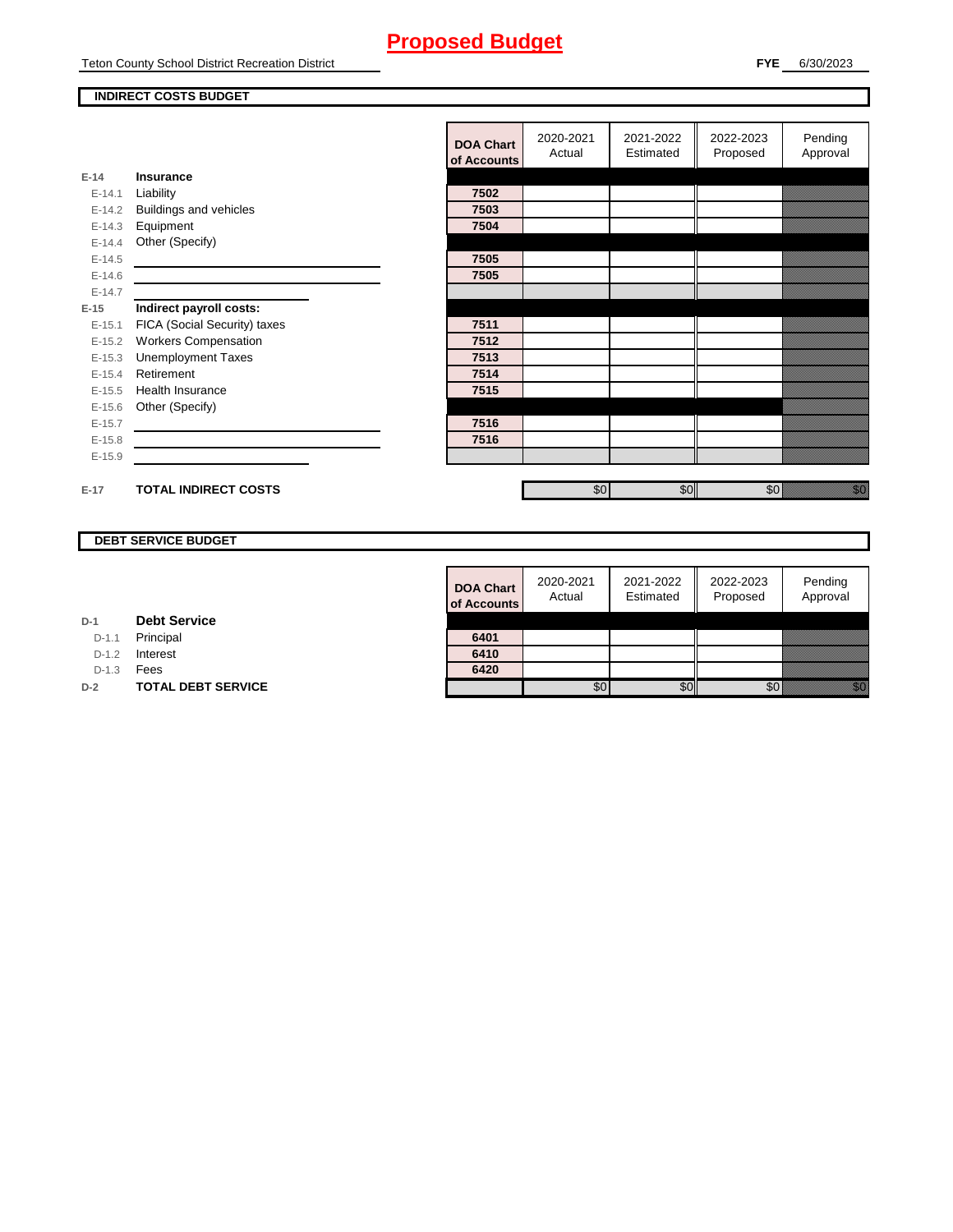Teton County School District Recreation District

#### **INDIRECT COSTS BUDGET**

|          |                              | <b>DOA Chart</b><br>of Accounts | 2020-2021<br>Actual | 2021-2022<br>Estimated | 2022-2023<br>Proposed | Pending<br>Approval                                                                                                                                                                                                            |
|----------|------------------------------|---------------------------------|---------------------|------------------------|-----------------------|--------------------------------------------------------------------------------------------------------------------------------------------------------------------------------------------------------------------------------|
| $E-14$   | Insurance                    |                                 |                     |                        |                       |                                                                                                                                                                                                                                |
| $E-14.1$ | Liability                    | 7502                            |                     |                        |                       |                                                                                                                                                                                                                                |
| $E-14.2$ | Buildings and vehicles       | 7503                            |                     |                        |                       |                                                                                                                                                                                                                                |
| $E-14.3$ | Equipment                    | 7504                            |                     |                        |                       |                                                                                                                                                                                                                                |
| $E-14.4$ | Other (Specify)              |                                 |                     |                        |                       |                                                                                                                                                                                                                                |
| $E-14.5$ |                              | 7505                            |                     |                        |                       |                                                                                                                                                                                                                                |
| $E-14.6$ |                              | 7505                            |                     |                        |                       |                                                                                                                                                                                                                                |
| $E-14.7$ |                              |                                 |                     |                        |                       |                                                                                                                                                                                                                                |
| $E-15$   | Indirect payroll costs:      |                                 |                     |                        |                       |                                                                                                                                                                                                                                |
| $E-15.1$ | FICA (Social Security) taxes | 7511                            |                     |                        |                       |                                                                                                                                                                                                                                |
| $E-15.2$ | <b>Workers Compensation</b>  | 7512                            |                     |                        |                       |                                                                                                                                                                                                                                |
| $E-15.3$ | <b>Unemployment Taxes</b>    | 7513                            |                     |                        |                       |                                                                                                                                                                                                                                |
| $E-15.4$ | Retirement                   | 7514                            |                     |                        |                       |                                                                                                                                                                                                                                |
| $E-15.5$ | Health Insurance             | 7515                            |                     |                        |                       |                                                                                                                                                                                                                                |
| $E-15.6$ | Other (Specify)              |                                 |                     |                        |                       |                                                                                                                                                                                                                                |
| $E-15.7$ |                              | 7516                            |                     |                        |                       |                                                                                                                                                                                                                                |
| $E-15.8$ |                              | 7516                            |                     |                        |                       |                                                                                                                                                                                                                                |
| $E-15.9$ |                              |                                 |                     |                        |                       |                                                                                                                                                                                                                                |
|          |                              |                                 |                     |                        |                       |                                                                                                                                                                                                                                |
| $E-17$   | <b>TOTAL INDIRECT COSTS</b>  |                                 | \$0                 | \$0                    | \$0                   | en de la familie de la familie de la familie de la familie de la familie de la familie de la familie de la fa<br>Concelho de la familie de la familie de la familie de la familie de la familie de la familie de la familie de |

## **DEBT SERVICE BUDGET**

| <b>DOA Chart</b><br>of Accounts | 2020-2021<br>Actual | 2021-2022<br>Estimated | 2022-2023<br>Proposed | Pending<br>Approval |
|---------------------------------|---------------------|------------------------|-----------------------|---------------------|
|                                 |                     |                        |                       |                     |
| 6401                            |                     |                        |                       |                     |
| 6410                            |                     |                        |                       |                     |
| 6420                            |                     |                        |                       |                     |
|                                 |                     |                        |                       |                     |

**D-1 Debt Service**

D-1.1 Principal

D-1.2 **Interest** 

D-1.3 **Fees** 

**D-2 TOTAL DEBT SERVICE**